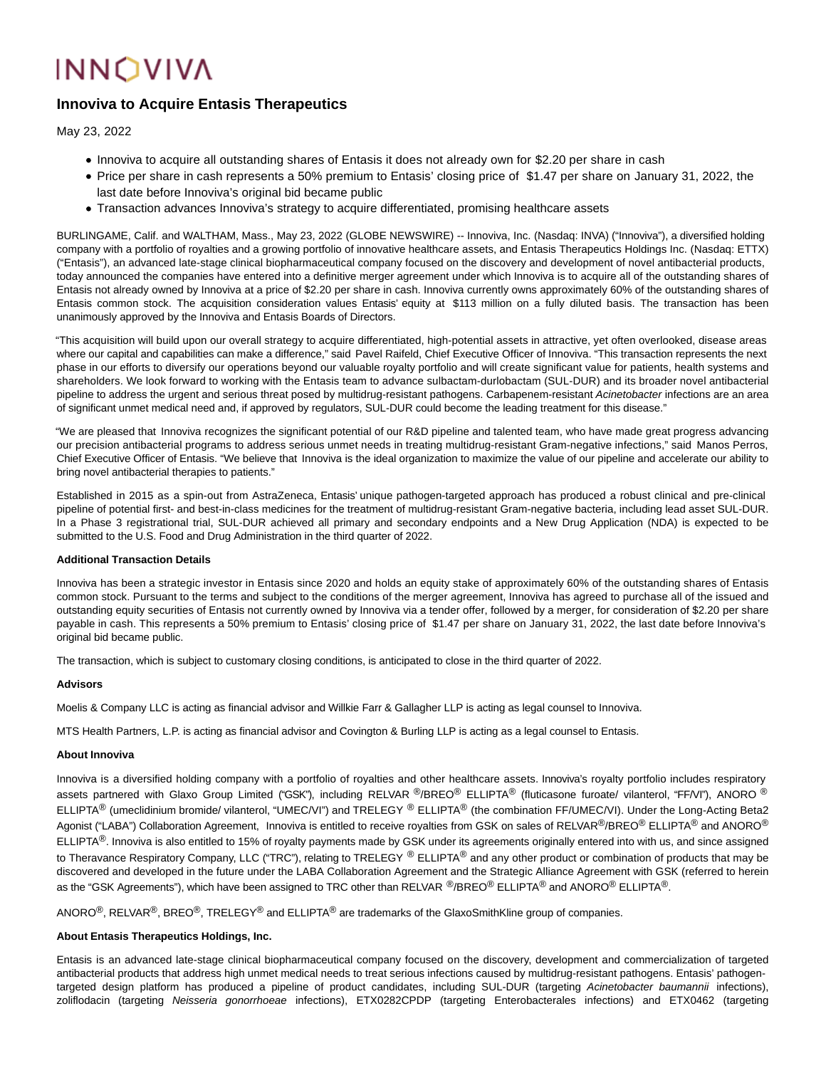# **INNOVIVA**

# **Innoviva to Acquire Entasis Therapeutics**

May 23, 2022

- Innoviva to acquire all outstanding shares of Entasis it does not already own for \$2.20 per share in cash
- Price per share in cash represents a 50% premium to Entasis' closing price of \$1.47 per share on January 31, 2022, the last date before Innoviva's original bid became public
- Transaction advances Innoviva's strategy to acquire differentiated, promising healthcare assets

BURLINGAME, Calif. and WALTHAM, Mass., May 23, 2022 (GLOBE NEWSWIRE) -- Innoviva, Inc. (Nasdaq: INVA) ("Innoviva"), a diversified holding company with a portfolio of royalties and a growing portfolio of innovative healthcare assets, and Entasis Therapeutics Holdings Inc. (Nasdaq: ETTX) ("Entasis"), an advanced late-stage clinical biopharmaceutical company focused on the discovery and development of novel antibacterial products, today announced the companies have entered into a definitive merger agreement under which Innoviva is to acquire all of the outstanding shares of Entasis not already owned by Innoviva at a price of \$2.20 per share in cash. Innoviva currently owns approximately 60% of the outstanding shares of Entasis common stock. The acquisition consideration values Entasis' equity at \$113 million on a fully diluted basis. The transaction has been unanimously approved by the Innoviva and Entasis Boards of Directors.

"This acquisition will build upon our overall strategy to acquire differentiated, high-potential assets in attractive, yet often overlooked, disease areas where our capital and capabilities can make a difference," said Pavel Raifeld, Chief Executive Officer of Innoviva. "This transaction represents the next phase in our efforts to diversify our operations beyond our valuable royalty portfolio and will create significant value for patients, health systems and shareholders. We look forward to working with the Entasis team to advance sulbactam-durlobactam (SUL-DUR) and its broader novel antibacterial pipeline to address the urgent and serious threat posed by multidrug-resistant pathogens. Carbapenem-resistant Acinetobacter infections are an area of significant unmet medical need and, if approved by regulators, SUL-DUR could become the leading treatment for this disease."

"We are pleased that Innoviva recognizes the significant potential of our R&D pipeline and talented team, who have made great progress advancing our precision antibacterial programs to address serious unmet needs in treating multidrug-resistant Gram-negative infections," said Manos Perros, Chief Executive Officer of Entasis. "We believe that Innoviva is the ideal organization to maximize the value of our pipeline and accelerate our ability to bring novel antibacterial therapies to patients."

Established in 2015 as a spin-out from AstraZeneca, Entasis' unique pathogen-targeted approach has produced a robust clinical and pre-clinical pipeline of potential first- and best-in-class medicines for the treatment of multidrug-resistant Gram-negative bacteria, including lead asset SUL-DUR. In a Phase 3 registrational trial, SUL-DUR achieved all primary and secondary endpoints and a New Drug Application (NDA) is expected to be submitted to the U.S. Food and Drug Administration in the third quarter of 2022.

#### **Additional Transaction Details**

Innoviva has been a strategic investor in Entasis since 2020 and holds an equity stake of approximately 60% of the outstanding shares of Entasis common stock. Pursuant to the terms and subject to the conditions of the merger agreement, Innoviva has agreed to purchase all of the issued and outstanding equity securities of Entasis not currently owned by Innoviva via a tender offer, followed by a merger, for consideration of \$2.20 per share payable in cash. This represents a 50% premium to Entasis' closing price of \$1.47 per share on January 31, 2022, the last date before Innoviva's original bid became public.

The transaction, which is subject to customary closing conditions, is anticipated to close in the third quarter of 2022.

#### **Advisors**

Moelis & Company LLC is acting as financial advisor and Willkie Farr & Gallagher LLP is acting as legal counsel to Innoviva.

MTS Health Partners, L.P. is acting as financial advisor and Covington & Burling LLP is acting as a legal counsel to Entasis.

### **About Innoviva**

Innoviva is a diversified holding company with a portfolio of royalties and other healthcare assets. Innoviva's royalty portfolio includes respiratory assets partnered with Glaxo Group Limited ("GSK"), including RELVAR <sup>®/</sup>BREO® ELLIPTA<sup>®</sup> (fluticasone furoate/ vilanterol, "FF/VI"), ANORO ® ELLIPTA® (umeclidinium bromide/ vilanterol, "UMEC/VI") and TRELEGY ® ELLIPTA® (the combination FF/UMEC/VI). Under the Long-Acting Beta2 Agonist ("LABA") Collaboration Agreement, Innoviva is entitled to receive royalties from GSK on sales of RELVAR<sup>®</sup>/BREO<sup>®</sup> ELLIPTA<sup>®</sup> and ANORO<sup>®</sup> ELLIPTA<sup>®</sup>. Innoviva is also entitled to 15% of royalty payments made by GSK under its agreements originally entered into with us, and since assigned to Theravance Respiratory Company, LLC ("TRC"), relating to TRELEGY ® ELLIPTA® and any other product or combination of products that may be discovered and developed in the future under the LABA Collaboration Agreement and the Strategic Alliance Agreement with GSK (referred to herein as the "GSK Agreements"), which have been assigned to TRC other than RELVAR <sup>®</sup>/BREO® ELLIPTA® and ANORO® ELLIPTA®.

ANORO<sup>®</sup>, RELVAR<sup>®</sup>, BREO<sup>®</sup>, TRELEGY<sup>®</sup> and ELLIPTA<sup>®</sup> are trademarks of the GlaxoSmithKline group of companies.

## **About Entasis Therapeutics Holdings, Inc.**

Entasis is an advanced late-stage clinical biopharmaceutical company focused on the discovery, development and commercialization of targeted antibacterial products that address high unmet medical needs to treat serious infections caused by multidrug-resistant pathogens. Entasis' pathogentargeted design platform has produced a pipeline of product candidates, including SUL-DUR (targeting Acinetobacter baumannii infections), zoliflodacin (targeting Neisseria gonorrhoeae infections), ETX0282CPDP (targeting Enterobacterales infections) and ETX0462 (targeting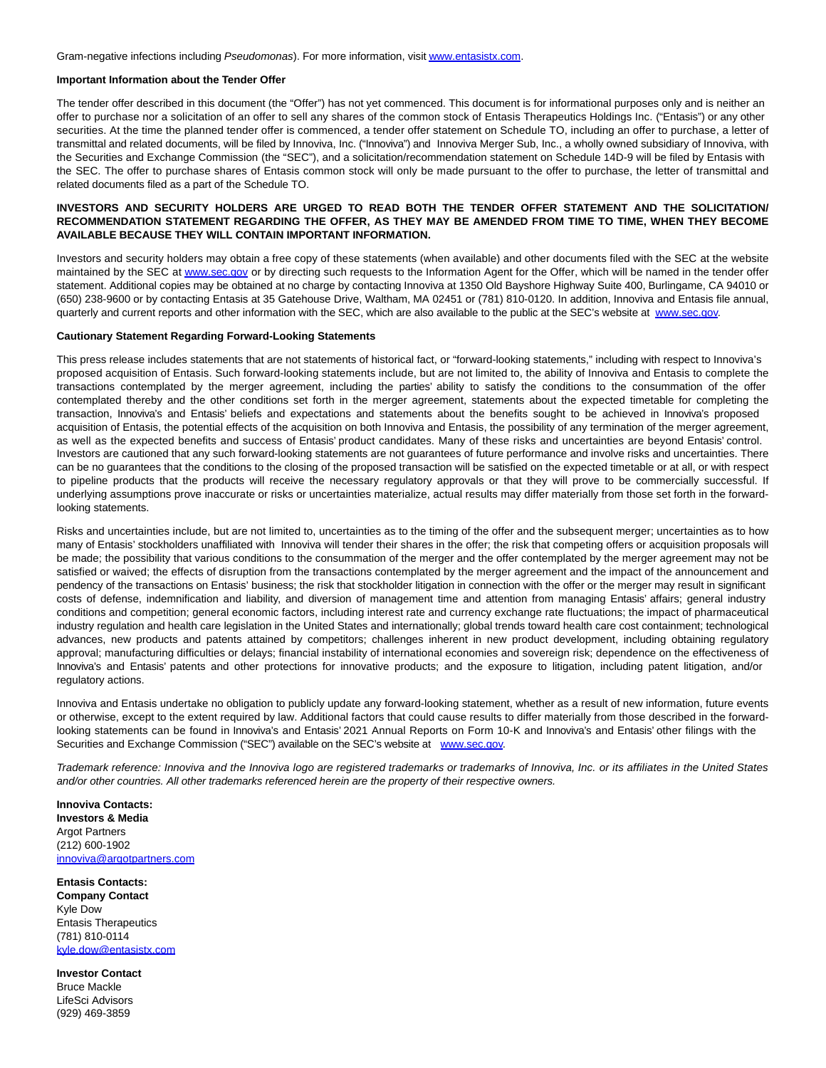Gram-negative infections including Pseudomonas). For more information, visi[t www.entasistx.com.](https://www.globenewswire.com/Tracker?data=P-hXeyyKu2W7EVp-iR1g06Ft-s4jdXHEQYYT_wMho9m0EAcq8NowuitVM4keq--xjyA5jytUunxkNxzrTzI4V6roG_mbrHvvkPMUkUDvb-BG_a1DPpdgjJYryctLTBgvVzw9TiVdA9VBp6Al4wbGByQN75NkLSQhhTZma_ND8qahpCKhtYc6ZgQJRQqla6bdqM4UjxAfLEXNb2Z4h1MKQVXCw-NAnQz8WxjNevXevrQ=)

#### **Important Information about the Tender Offer**

The tender offer described in this document (the "Offer") has not yet commenced. This document is for informational purposes only and is neither an offer to purchase nor a solicitation of an offer to sell any shares of the common stock of Entasis Therapeutics Holdings Inc. ("Entasis") or any other securities. At the time the planned tender offer is commenced, a tender offer statement on Schedule TO, including an offer to purchase, a letter of transmittal and related documents, will be filed by Innoviva, Inc. ("Innoviva") and Innoviva Merger Sub, Inc., a wholly owned subsidiary of Innoviva, with the Securities and Exchange Commission (the "SEC"), and a solicitation/recommendation statement on Schedule 14D-9 will be filed by Entasis with the SEC. The offer to purchase shares of Entasis common stock will only be made pursuant to the offer to purchase, the letter of transmittal and related documents filed as a part of the Schedule TO.

#### **INVESTORS AND SECURITY HOLDERS ARE URGED TO READ BOTH THE TENDER OFFER STATEMENT AND THE SOLICITATION/ RECOMMENDATION STATEMENT REGARDING THE OFFER, AS THEY MAY BE AMENDED FROM TIME TO TIME, WHEN THEY BECOME AVAILABLE BECAUSE THEY WILL CONTAIN IMPORTANT INFORMATION.**

Investors and security holders may obtain a free copy of these statements (when available) and other documents filed with the SEC at the website maintained by the SEC at [www.sec.gov o](http://www.sec.gov/)r by directing such requests to the Information Agent for the Offer, which will be named in the tender offer statement. Additional copies may be obtained at no charge by contacting Innoviva at 1350 Old Bayshore Highway Suite 400, Burlingame, CA 94010 or (650) 238-9600 or by contacting Entasis at 35 Gatehouse Drive, Waltham, MA 02451 or (781) 810-0120. In addition, Innoviva and Entasis file annual, quarterly and current reports and other information with the SEC, which are also available to the public at the SEC's website at [www.sec.gov.](http://www.sec.gov/)

#### **Cautionary Statement Regarding Forward-Looking Statements**

This press release includes statements that are not statements of historical fact, or "forward-looking statements," including with respect to Innoviva's proposed acquisition of Entasis. Such forward-looking statements include, but are not limited to, the ability of Innoviva and Entasis to complete the transactions contemplated by the merger agreement, including the parties' ability to satisfy the conditions to the consummation of the offer contemplated thereby and the other conditions set forth in the merger agreement, statements about the expected timetable for completing the transaction, Innoviva's and Entasis' beliefs and expectations and statements about the benefits sought to be achieved in Innoviva's proposed acquisition of Entasis, the potential effects of the acquisition on both Innoviva and Entasis, the possibility of any termination of the merger agreement, as well as the expected benefits and success of Entasis' product candidates. Many of these risks and uncertainties are beyond Entasis' control. Investors are cautioned that any such forward-looking statements are not guarantees of future performance and involve risks and uncertainties. There can be no guarantees that the conditions to the closing of the proposed transaction will be satisfied on the expected timetable or at all, or with respect to pipeline products that the products will receive the necessary regulatory approvals or that they will prove to be commercially successful. If underlying assumptions prove inaccurate or risks or uncertainties materialize, actual results may differ materially from those set forth in the forwardlooking statements.

Risks and uncertainties include, but are not limited to, uncertainties as to the timing of the offer and the subsequent merger; uncertainties as to how many of Entasis' stockholders unaffiliated with Innoviva will tender their shares in the offer; the risk that competing offers or acquisition proposals will be made; the possibility that various conditions to the consummation of the merger and the offer contemplated by the merger agreement may not be satisfied or waived; the effects of disruption from the transactions contemplated by the merger agreement and the impact of the announcement and pendency of the transactions on Entasis' business; the risk that stockholder litigation in connection with the offer or the merger may result in significant costs of defense, indemnification and liability, and diversion of management time and attention from managing Entasis' affairs; general industry conditions and competition; general economic factors, including interest rate and currency exchange rate fluctuations; the impact of pharmaceutical industry regulation and health care legislation in the United States and internationally; global trends toward health care cost containment; technological advances, new products and patents attained by competitors; challenges inherent in new product development, including obtaining regulatory approval; manufacturing difficulties or delays; financial instability of international economies and sovereign risk; dependence on the effectiveness of Innoviva's and Entasis' patents and other protections for innovative products; and the exposure to litigation, including patent litigation, and/or regulatory actions.

Innoviva and Entasis undertake no obligation to publicly update any forward-looking statement, whether as a result of new information, future events or otherwise, except to the extent required by law. Additional factors that could cause results to differ materially from those described in the forwardlooking statements can be found in Innoviva's and Entasis' 2021 Annual Reports on Form 10-K and Innoviva's and Entasis' other filings with the Securities and Exchange Commission ("SEC") available on the SEC's website at [www.sec.gov.](http://www.sec.gov/)

Trademark reference: Innoviva and the Innoviva logo are registered trademarks or trademarks of Innoviva, Inc. or its affiliates in the United States and/or other countries. All other trademarks referenced herein are the property of their respective owners.

**Innoviva Contacts: Investors & Media** Argot Partners (212) 600-1902 [innoviva@argotpartners.com](https://www.globenewswire.com/Tracker?data=xrTjAZLMy0sKsNYRLFL7ckDPCc7NJU90WoHXff3XMFyz9cD5SzpBq3rU_io2wCrrLi263rLcYVHpS0VFBM2E_ai399EjFWm39P3aBYN6N-wEv-aazkpq2Z8F9hcbldVj)

**Entasis Contacts: Company Contact** Kyle Dow Entasis Therapeutics (781) 810-0114 [kyle.dow@entasistx.com](https://www.globenewswire.com/Tracker?data=kSd83-wECBsGgQJza9meaxa4fGq_nvHB1gC3xYj1vG-ixSH9Ath2kH2U8IBLClTYqD_m_UkVpN0JJDjhgZqv8Y6POKCQCRzEhLgBB3XtTy4=)

**Investor Contact** Bruce Mackle LifeSci Advisors (929) 469-3859